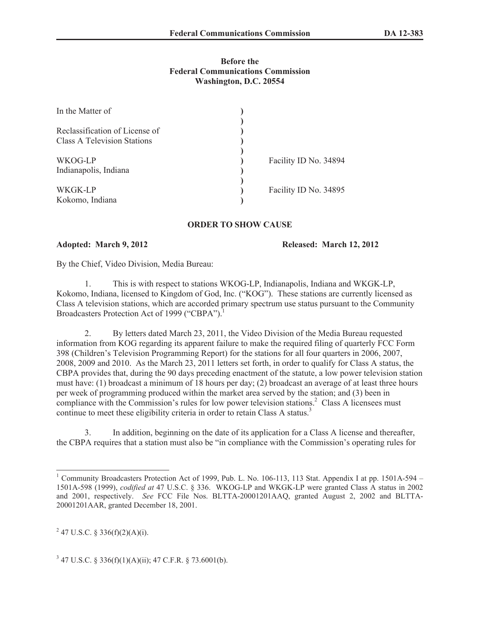## **Before the Federal Communications Commission Washington, D.C. 20554**

| In the Matter of                                                     |                       |
|----------------------------------------------------------------------|-----------------------|
| Reclassification of License of<br><b>Class A Television Stations</b> |                       |
| WKOG-LP                                                              | Facility ID No. 34894 |
| Indianapolis, Indiana                                                |                       |
| WKGK-LP                                                              | Facility ID No. 34895 |
| Kokomo, Indiana                                                      |                       |

## **ORDER TO SHOW CAUSE**

**Adopted: March 9, 2012 Released: March 12, 2012**

By the Chief, Video Division, Media Bureau:

1. This is with respect to stations WKOG-LP, Indianapolis, Indiana and WKGK-LP, Kokomo, Indiana, licensed to Kingdom of God, Inc. ("KOG"). These stations are currently licensed as Class A television stations, which are accorded primary spectrum use status pursuant to the Community Broadcasters Protection Act of 1999 ("CBPA").<sup>1</sup>

2. By letters dated March 23, 2011, the Video Division of the Media Bureau requested information from KOG regarding its apparent failure to make the required filing of quarterly FCC Form 398 (Children's Television Programming Report) for the stations for all four quarters in 2006, 2007, 2008, 2009 and 2010. As the March 23, 2011 letters set forth, in order to qualify for Class A status, the CBPA provides that, during the 90 days preceding enactment of the statute, a low power television station must have: (1) broadcast a minimum of 18 hours per day; (2) broadcast an average of at least three hours per week of programming produced within the market area served by the station; and (3) been in compliance with the Commission's rules for low power television stations.<sup>2</sup> Class A licensees must continue to meet these eligibility criteria in order to retain Class A status.<sup>3</sup>

3. In addition, beginning on the date of its application for a Class A license and thereafter, the CBPA requires that a station must also be "in compliance with the Commission's operating rules for

<sup>2</sup> 47 U.S.C. § 336(f)(2)(A)(i).

 $3$  47 U.S.C. § 336(f)(1)(A)(ii); 47 C.F.R. § 73.6001(b).

<sup>&</sup>lt;sup>1</sup> Community Broadcasters Protection Act of 1999, Pub. L. No. 106-113, 113 Stat. Appendix I at pp. 1501A-594 – 1501A-598 (1999), *codified at* 47 U.S.C. § 336. WKOG-LP and WKGK-LP were granted Class A status in 2002 and 2001, respectively. *See* FCC File Nos. BLTTA-20001201AAQ, granted August 2, 2002 and BLTTA-20001201AAR, granted December 18, 2001.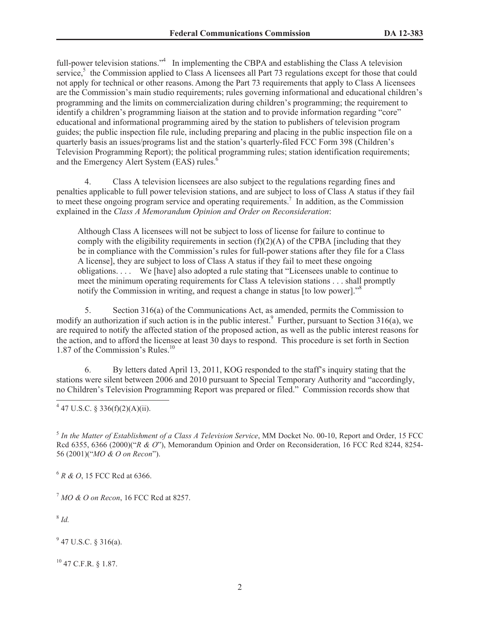full-power television stations."<sup>4</sup> In implementing the CBPA and establishing the Class A television service,<sup>5</sup> the Commission applied to Class A licensees all Part 73 regulations except for those that could not apply for technical or other reasons. Among the Part 73 requirements that apply to Class A licensees are the Commission's main studio requirements; rules governing informational and educational children's programming and the limits on commercialization during children's programming; the requirement to identify a children's programming liaison at the station and to provide information regarding "core" educational and informational programming aired by the station to publishers of television program guides; the public inspection file rule, including preparing and placing in the public inspection file on a quarterly basis an issues/programs list and the station's quarterly-filed FCC Form 398 (Children's Television Programming Report); the political programming rules; station identification requirements; and the Emergency Alert System (EAS) rules.<sup>6</sup>

4. Class A television licensees are also subject to the regulations regarding fines and penalties applicable to full power television stations, and are subject to loss of Class A status if they fail to meet these ongoing program service and operating requirements.<sup>7</sup> In addition, as the Commission explained in the *Class A Memorandum Opinion and Order on Reconsideration*:

Although Class A licensees will not be subject to loss of license for failure to continue to comply with the eligibility requirements in section  $(f)(2)(A)$  of the CPBA [including that they be in compliance with the Commission's rules for full-power stations after they file for a Class A license], they are subject to loss of Class A status if they fail to meet these ongoing obligations. . . . We [have] also adopted a rule stating that "Licensees unable to continue to meet the minimum operating requirements for Class A television stations . . . shall promptly notify the Commission in writing, and request a change in status [to low power].<sup>58</sup>

5. Section 316(a) of the Communications Act, as amended, permits the Commission to modify an authorization if such action is in the public interest.<sup>9</sup> Further, pursuant to Section 316(a), we are required to notify the affected station of the proposed action, as well as the public interest reasons for the action, and to afford the licensee at least 30 days to respond. This procedure is set forth in Section 1.87 of the Commission's Rules.<sup>10</sup>

6. By letters dated April 13, 2011, KOG responded to the staff's inquiry stating that the stations were silent between 2006 and 2010 pursuant to Special Temporary Authority and "accordingly, no Children's Television Programming Report was prepared or filed." Commission records show that

 $4$  47 U.S.C. § 336(f)(2)(A)(ii).

5 *In the Matter of Establishment of a Class A Television Service*, MM Docket No. 00-10, Report and Order, 15 FCC Rcd 6355, 6366 (2000)("*R & O*"), Memorandum Opinion and Order on Reconsideration, 16 FCC Rcd 8244, 8254- 56 (2001)("*MO & O on Recon*").

<sup>6</sup> *R & O*, 15 FCC Rcd at 6366.

<sup>7</sup> *MO & O on Recon*, 16 FCC Rcd at 8257.

8 *Id.*

 $9$  47 U.S.C. § 316(a).

<sup>10</sup> 47 C.F.R. § 1.87.